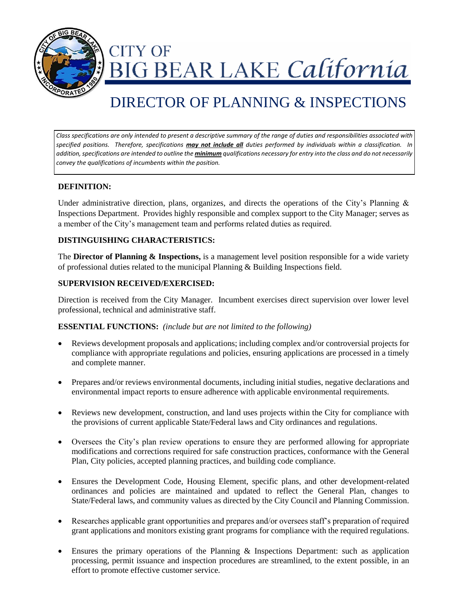

**CITY OF** IG BEAR LAKE California

# DIRECTOR OF PLANNING & INSPECTIONS

*Class specifications are only intended to present a descriptive summary of the range of duties and responsibilities associated with specified positions. Therefore, specifications may not include all duties performed by individuals within a classification. In addition, specifications are intended to outline the minimum qualifications necessary for entry into the class and do not necessarily convey the qualifications of incumbents within the position.*

## **DEFINITION:**

Under administrative direction, plans, organizes, and directs the operations of the City's Planning  $\&$ Inspections Department. Provides highly responsible and complex support to the City Manager; serves as a member of the City's management team and performs related duties as required.

#### **DISTINGUISHING CHARACTERISTICS:**

The **Director of Planning & Inspections,** is a management level position responsible for a wide variety of professional duties related to the municipal Planning & Building Inspections field.

#### **SUPERVISION RECEIVED/EXERCISED:**

Direction is received from the City Manager. Incumbent exercises direct supervision over lower level professional, technical and administrative staff.

#### **ESSENTIAL FUNCTIONS:** *(include but are not limited to the following)*

- Reviews development proposals and applications; including complex and/or controversial projects for compliance with appropriate regulations and policies, ensuring applications are processed in a timely and complete manner.
- Prepares and/or reviews environmental documents, including initial studies, negative declarations and environmental impact reports to ensure adherence with applicable environmental requirements.
- Reviews new development, construction, and land uses projects within the City for compliance with the provisions of current applicable State/Federal laws and City ordinances and regulations.
- Oversees the City's plan review operations to ensure they are performed allowing for appropriate modifications and corrections required for safe construction practices, conformance with the General Plan, City policies, accepted planning practices, and building code compliance.
- Ensures the Development Code, Housing Element, specific plans, and other development-related ordinances and policies are maintained and updated to reflect the General Plan, changes to State/Federal laws, and community values as directed by the City Council and Planning Commission.
- Researches applicable grant opportunities and prepares and/or oversees staff's preparation of required grant applications and monitors existing grant programs for compliance with the required regulations.
- Ensures the primary operations of the Planning & Inspections Department: such as application processing, permit issuance and inspection procedures are streamlined, to the extent possible, in an effort to promote effective customer service.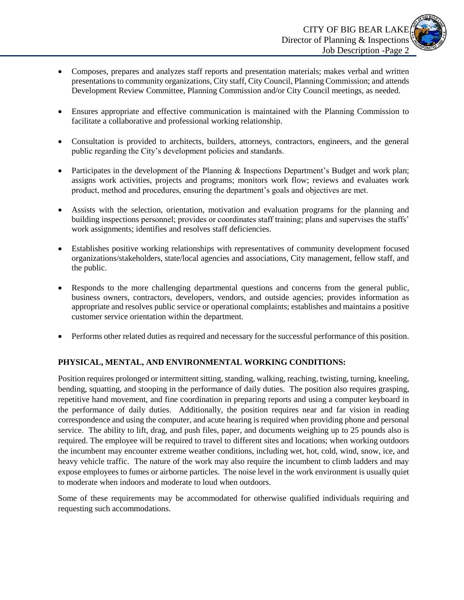

- Composes, prepares and analyzes staff reports and presentation materials; makes verbal and written presentations to community organizations, City staff, City Council, Planning Commission; and attends Development Review Committee, Planning Commission and/or City Council meetings, as needed.
- Ensures appropriate and effective communication is maintained with the Planning Commission to facilitate a collaborative and professional working relationship.
- Consultation is provided to architects, builders, attorneys, contractors, engineers, and the general public regarding the City's development policies and standards.
- Participates in the development of the Planning & Inspections Department's Budget and work plan; assigns work activities, projects and programs; monitors work flow; reviews and evaluates work product, method and procedures, ensuring the department's goals and objectives are met.
- Assists with the selection, orientation, motivation and evaluation programs for the planning and building inspections personnel; provides or coordinates staff training; plans and supervises the staffs' work assignments; identifies and resolves staff deficiencies.
- Establishes positive working relationships with representatives of community development focused organizations/stakeholders, state/local agencies and associations, City management, fellow staff, and the public.
- Responds to the more challenging departmental questions and concerns from the general public, business owners, contractors, developers, vendors, and outside agencies; provides information as appropriate and resolves public service or operational complaints; establishes and maintains a positive customer service orientation within the department.
- Performs other related duties as required and necessary for the successful performance of this position.

## **PHYSICAL, MENTAL, AND ENVIRONMENTAL WORKING CONDITIONS:**

Position requires prolonged or intermittent sitting, standing, walking, reaching, twisting, turning, kneeling, bending, squatting, and stooping in the performance of daily duties. The position also requires grasping, repetitive hand movement, and fine coordination in preparing reports and using a computer keyboard in the performance of daily duties. Additionally, the position requires near and far vision in reading correspondence and using the computer, and acute hearing is required when providing phone and personal service. The ability to lift, drag, and push files, paper, and documents weighing up to 25 pounds also is required. The employee will be required to travel to different sites and locations; when working outdoors the incumbent may encounter extreme weather conditions, including wet, hot, cold, wind, snow, ice, and heavy vehicle traffic. The nature of the work may also require the incumbent to climb ladders and may expose employees to fumes or airborne particles. The noise level in the work environment is usually quiet to moderate when indoors and moderate to loud when outdoors.

Some of these requirements may be accommodated for otherwise qualified individuals requiring and requesting such accommodations.